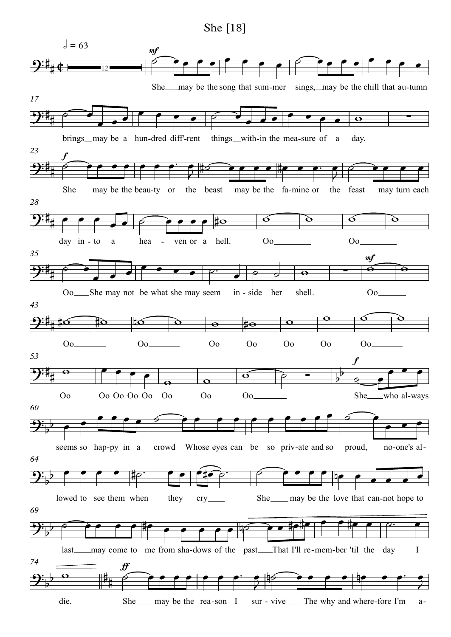